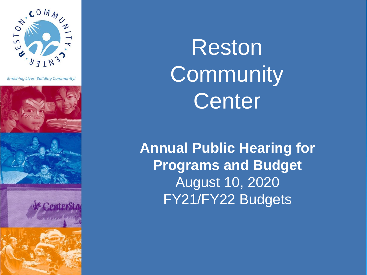

**Enriching Lives. Building Community.'** 









Reston **Community** Center

**Annual Public Hearing for Programs and Budget**  August 10, 2020 FY21/FY22 Budgets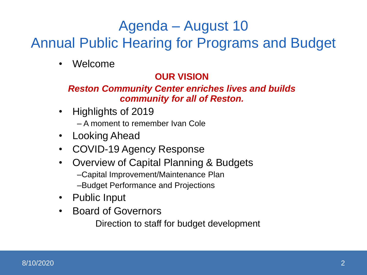## Agenda – August 10

## Annual Public Hearing for Programs and Budget

• Welcome

#### **OUR VISION**

#### *Reston Community Center enriches lives and builds community for all of Reston.*

• Highlights of 2019

– A moment to remember Ivan Cole

- Looking Ahead
- COVID-19 Agency Response
- Overview of Capital Planning & Budgets
	- –Capital Improvement/Maintenance Plan
	- –Budget Performance and Projections
- Public Input
- Board of Governors

Direction to staff for budget development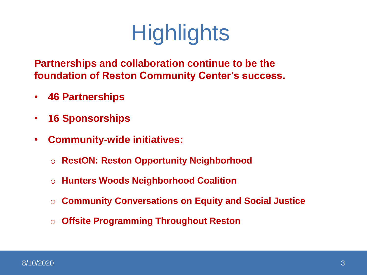# **Highlights**

**Partnerships and collaboration continue to be the foundation of Reston Community Center's success.**

- **46 Partnerships**
- **16 Sponsorships**
- **Community-wide initiatives:** 
	- o **RestON: Reston Opportunity Neighborhood**
	- o **Hunters Woods Neighborhood Coalition**
	- o **Community Conversations on Equity and Social Justice**
	- o **Offsite Programming Throughout Reston**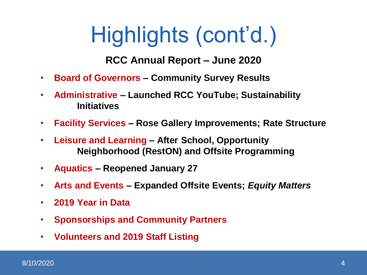# Highlights (cont'd.)

#### **RCC Annual Report – June 2020**

- **Board of Governors – Community Survey Results**
- **Administrative – Launched RCC YouTube; Sustainability Initiatives**
- **Facility Services – Rose Gallery Improvements; Rate Structure**
- **Leisure and Learning – After School, Opportunity Neighborhood (RestON) and Offsite Programming**
- **Aquatics – Reopened January 27**
- **Arts and Events – Expanded Offsite Events;** *Equity Matters*
- **2019 Year in Data**
- **Sponsorships and Community Partners**
- **Volunteers and 2019 Staff Listing**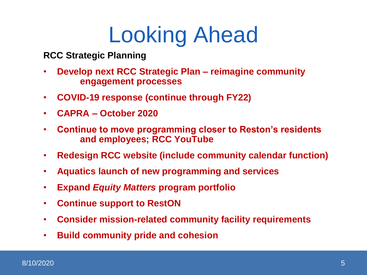# Looking Ahead

**RCC Strategic Planning**

- **Develop next RCC Strategic Plan – reimagine community engagement processes**
- **COVID-19 response (continue through FY22)**
- **CAPRA – October 2020**
- **Continue to move programming closer to Reston's residents and employees; RCC YouTube**
- **Redesign RCC website (include community calendar function)**
- **Aquatics launch of new programming and services**
- **Expand** *Equity Matters* **program portfolio**
- **Continue support to RestON**
- **Consider mission-related community facility requirements**
- **Build community pride and cohesion**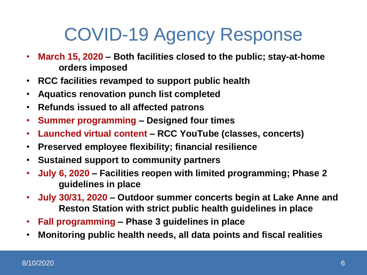# COVID-19 Agency Response

- **March 15, 2020 – Both facilities closed to the public; stay-at-home orders imposed**
- **RCC facilities revamped to support public health**
- **Aquatics renovation punch list completed**
- **Refunds issued to all affected patrons**
- **Summer programming – Designed four times**
- **Launched virtual content – RCC YouTube (classes, concerts)**
- **Preserved employee flexibility; financial resilience**
- **Sustained support to community partners**
- **July 6, 2020 – Facilities reopen with limited programming; Phase 2 guidelines in place**
- **July 30/31, 2020 – Outdoor summer concerts begin at Lake Anne and Reston Station with strict public health guidelines in place**
- **Fall programming – Phase 3 guidelines in place**
- **Monitoring public health needs, all data points and fiscal realities**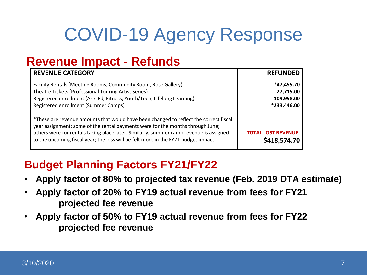# COVID-19 Agency Response

### **Revenue Impact - Refunds**

| <b>REVENUE CATEGORY</b>                                                                                                                                                                                                                                                                                                                                 | <b>REFUNDED</b>                            |
|---------------------------------------------------------------------------------------------------------------------------------------------------------------------------------------------------------------------------------------------------------------------------------------------------------------------------------------------------------|--------------------------------------------|
| Facility Rentals (Meeting Rooms, Community Room, Rose Gallery)                                                                                                                                                                                                                                                                                          | *47,455.70                                 |
| Theatre Tickets (Professional Touring Artist Series)                                                                                                                                                                                                                                                                                                    | 27,715.00                                  |
| Registered enrollment (Arts Ed, Fitness, Youth/Teen, Lifelong Learning)                                                                                                                                                                                                                                                                                 | 109,958.00                                 |
| Registered enrollment (Summer Camps)                                                                                                                                                                                                                                                                                                                    | *233,446.00                                |
|                                                                                                                                                                                                                                                                                                                                                         |                                            |
| *These are revenue amounts that would have been changed to reflect the correct fiscal<br>year assignment; some of the rental payments were for the months through June;<br>others were for rentals taking place later. Similarly, summer camp revenue is assigned<br>to the upcoming fiscal year; the loss will be felt more in the FY21 budget impact. | <b>TOTAL LOST REVENUE:</b><br>\$418,574.70 |

### **Budget Planning Factors FY21/FY22**

- **Apply factor of 80% to projected tax revenue (Feb. 2019 DTA estimate)**
- **Apply factor of 20% to FY19 actual revenue from fees for FY21 projected fee revenue**
- **Apply factor of 50% to FY19 actual revenue from fees for FY22 projected fee revenue**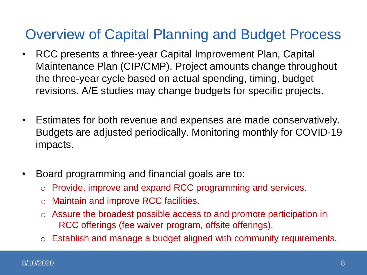## Overview of Capital Planning and Budget Process

- RCC presents a three-year Capital Improvement Plan, Capital Maintenance Plan (CIP/CMP). Project amounts change throughout the three-year cycle based on actual spending, timing, budget revisions. A/E studies may change budgets for specific projects.
- Estimates for both revenue and expenses are made conservatively. Budgets are adjusted periodically. Monitoring monthly for COVID-19 impacts.
- Board programming and financial goals are to:
	- o Provide, improve and expand RCC programming and services.
	- o Maintain and improve RCC facilities.
	- o Assure the broadest possible access to and promote participation in RCC offerings (fee waiver program, offsite offerings).
	- o Establish and manage a budget aligned with community requirements.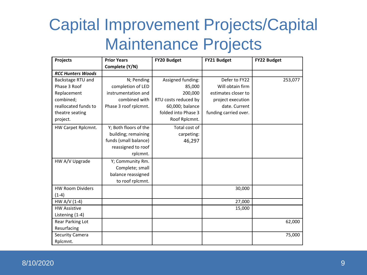| Projects                 | <b>Prior Years</b>    | FY20 Budget          | FY21 Budget           | FY22 Budget |
|--------------------------|-----------------------|----------------------|-----------------------|-------------|
|                          | Complete (Y/N)        |                      |                       |             |
| <b>RCC Hunters Woods</b> |                       |                      |                       |             |
| Backstage RTU and        | N; Pending            | Assigned funding:    | Defer to FY22         | 253,077     |
| Phase 3 Roof             | completion of LED     | 85,000               | Will obtain firm      |             |
| Replacement              | instrumentation and   | 200,000              | estimates closer to   |             |
| combined;                | combined with         | RTU costs reduced by | project execution     |             |
| reallocated funds to     | Phase 3 roof rplcmnt. | 60,000; balance      | date. Current         |             |
| theatre seating          |                       | folded into Phase 3  | funding carried over. |             |
| project.                 |                       | Roof Rplcmnt.        |                       |             |
| HW Carpet Rplcmnt.       | Y; Both floors of the | Total cost of        |                       |             |
|                          | building; remaining   | carpeting:           |                       |             |
|                          | funds (small balance) | 46,297               |                       |             |
|                          | reassigned to roof    |                      |                       |             |
|                          | rplcmnt.              |                      |                       |             |
| HW A/V Upgrade           | Y; Community Rm.      |                      |                       |             |
|                          | Complete; small       |                      |                       |             |
|                          | balance reassigned    |                      |                       |             |
|                          | to roof rplcmnt.      |                      |                       |             |
| <b>HW Room Dividers</b>  |                       |                      | 30,000                |             |
| $(1-4)$                  |                       |                      |                       |             |
| HW A/V (1-4)             |                       |                      | 27,000                |             |
| <b>HW Assistive</b>      |                       |                      | 15,000                |             |
| Listening (1-4)          |                       |                      |                       |             |
| Rear Parking Lot         |                       |                      |                       | 62,000      |
| Resurfacing              |                       |                      |                       |             |
| Security Camera          |                       |                      |                       | 75,000      |
| Rplcmnt.                 |                       |                      |                       |             |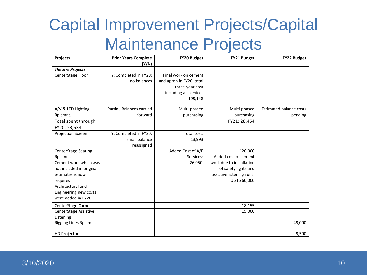| Projects                   | <b>Prior Years Complete</b> | <b>FY20 Budget</b>       | <b>FY21 Budget</b>        | <b>FY22 Budget</b>             |
|----------------------------|-----------------------------|--------------------------|---------------------------|--------------------------------|
|                            | (Y/N)                       |                          |                           |                                |
| <b>Theatre Projects</b>    |                             |                          |                           |                                |
| CenterStage Floor          | Y; Completed in FY20;       | Final work on cement     |                           |                                |
|                            | no balances                 | and apron in FY20; total |                           |                                |
|                            |                             | three-year cost          |                           |                                |
|                            |                             | including all services   |                           |                                |
|                            |                             | 199,148                  |                           |                                |
| A/V & LED Lighting         | Partial; Balances carried   | Multi-phased             | Multi-phased              | <b>Estimated balance costs</b> |
| Rplcmnt.                   | forward                     | purchasing               | purchasing                | pending                        |
| Total spent through        |                             |                          | FY21: 28,454              |                                |
| FY20: 53,534               |                             |                          |                           |                                |
| Projection Screen          | Y; Completed in FY20;       | Total cost:              |                           |                                |
|                            | small balance               | 13,993                   |                           |                                |
|                            | reassigned                  |                          |                           |                                |
| <b>CenterStage Seating</b> |                             | Added Cost of A/E        | 120,000                   |                                |
| Rplcmnt.                   |                             | Services:                | Added cost of cement      |                                |
| Cement work which was      |                             | 26,950                   | work due to installation  |                                |
| not included in original   |                             |                          | of safety lights and      |                                |
| estimates is now           |                             |                          | assistive listening runs: |                                |
| required.                  |                             |                          | Up to 60,000              |                                |
| Architectural and          |                             |                          |                           |                                |
| Engineering new costs      |                             |                          |                           |                                |
| were added in FY20         |                             |                          |                           |                                |
| CenterStage Carpet         |                             |                          | 18,155                    |                                |
| CenterStage Assistive      |                             |                          | 15,000                    |                                |
| Listening                  |                             |                          |                           |                                |
| Rigging Lines Rplcmnt.     |                             |                          |                           | 49,000                         |
| <b>HD Projector</b>        |                             |                          |                           | 9,500                          |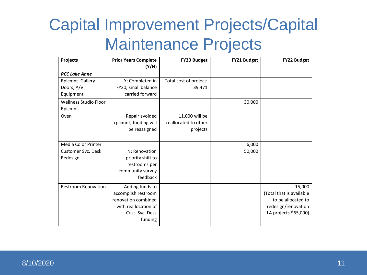| Projects                                    | <b>Prior Years Complete</b><br>(Y/N)                                                                                | FY20 Budget                                        | FY21 Budget | FY22 Budget                                                                                              |
|---------------------------------------------|---------------------------------------------------------------------------------------------------------------------|----------------------------------------------------|-------------|----------------------------------------------------------------------------------------------------------|
| <b>RCC Lake Anne</b>                        |                                                                                                                     |                                                    |             |                                                                                                          |
| Rplcmnt. Gallery<br>Doors; A/V<br>Equipment | Y; Completed in<br>FY20, small balance<br>carried forward                                                           | Total cost of project:<br>39,471                   |             |                                                                                                          |
| Wellness Studio Floor<br>Rplcmnt.           |                                                                                                                     |                                                    | 30,000      |                                                                                                          |
| Oven                                        | Repair avoided<br>rplcmnt; funding will<br>be reassigned                                                            | 11,000 will be<br>reallocated to other<br>projects |             |                                                                                                          |
| Media Color Printer                         |                                                                                                                     |                                                    | 6,000       |                                                                                                          |
| <b>Customer Svc. Desk</b><br>Redesign       | N; Renovation<br>priority shift to<br>restrooms per<br>community survey<br>feedback                                 |                                                    | 50,000      |                                                                                                          |
| <b>Restroom Renovation</b>                  | Adding funds to<br>accomplish restroom<br>renovation combined<br>with reallocation of<br>Cust. Svc. Desk<br>funding |                                                    |             | 15,000<br>(Total that is available<br>to be allocated to<br>redesign/renovation<br>LA projects \$65,000) |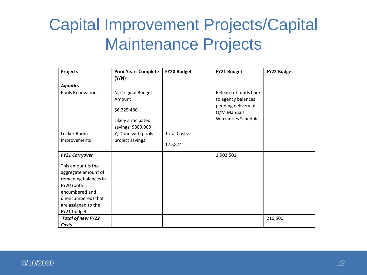| Projects                                                                                                                                                        | <b>Prior Years Complete</b><br>(Y/N)                                                     | FY20 Budget         | FY21 Budget                                                                                                      | FY22 Budget |
|-----------------------------------------------------------------------------------------------------------------------------------------------------------------|------------------------------------------------------------------------------------------|---------------------|------------------------------------------------------------------------------------------------------------------|-------------|
| <b>Aquatics</b>                                                                                                                                                 |                                                                                          |                     |                                                                                                                  |             |
| Pools Renovation                                                                                                                                                | N; Original Budget<br>Amount:<br>\$6,325,480<br>Likely anticipated<br>savings: \$800,000 |                     | Release of funds back<br>to agency balances<br>pending delivery of<br>O/M Manuals;<br><b>Warranties Schedule</b> |             |
| Locker Room                                                                                                                                                     | Y; Done with pools                                                                       | <b>Total Costs:</b> |                                                                                                                  |             |
| Improvements                                                                                                                                                    | project savings                                                                          | 175,874             |                                                                                                                  |             |
| <b>FY21 Carryover</b>                                                                                                                                           |                                                                                          |                     | 1,903,501                                                                                                        |             |
| This amount is the<br>aggregate amount of<br>remaining balances in<br>FY20 (both<br>encumbered and<br>unencumbered) that<br>are assigned to the<br>FY21 budget. |                                                                                          |                     |                                                                                                                  |             |
| <b>Total of new FY22</b><br>Costs                                                                                                                               |                                                                                          |                     |                                                                                                                  | 210,500     |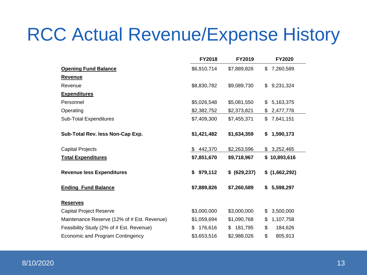# RCC Actual Revenue/Expense History

|                                             | <b>FY2018</b> | <b>FY2019</b> | <b>FY2020</b>   |
|---------------------------------------------|---------------|---------------|-----------------|
| <b>Opening Fund Balance</b>                 | \$6,910,714   | \$7,889,826   | 7,260,589<br>\$ |
| <b>Revenue</b>                              |               |               |                 |
| Revenue                                     | \$8,830,782   | \$9,089,730   | 9,231,324<br>\$ |
| <b>Expenditures</b>                         |               |               |                 |
| Personnel                                   | \$5,026,548   | \$5,081,550   | 5,163,375<br>\$ |
| Operating                                   | \$2,382,752   | \$2,373,821   | \$<br>2,477,776 |
| <b>Sub-Total Expenditures</b>               | \$7,409,300   | \$7,455,371   | 7,641,151<br>\$ |
| Sub-Total Rev. less Non-Cap Exp.            | \$1,421,482   | \$1,634,359   | 1,590,173<br>\$ |
| <b>Capital Projects</b>                     | 442,370<br>\$ | \$2,263,596   | \$3,252,465     |
| <b>Total Expenditures</b>                   | \$7,851,670   | \$9,718,967   | \$10,893,616    |
| <b>Revenue less Expenditures</b>            | 979,112<br>\$ | \$ (629, 237) | \$(1,662,292)   |
| <b>Ending Fund Balance</b>                  | \$7,889,826   | \$7,260,589   | 5,598,297<br>S. |
| <b>Reserves</b>                             |               |               |                 |
| <b>Capital Project Reserve</b>              | \$3,000,000   | \$3,000,000   | 3,500,000<br>\$ |
| Maintenance Reserve (12% of # Est. Revenue) | \$1,059,694   | \$1,090,768   | 1,107,758<br>\$ |
| Feasibility Study (2% of # Est. Revenue)    | 176,616<br>\$ | 181,795<br>\$ | \$<br>184,626   |
| Economic and Program Contingency            | \$3,653,516   | \$2,988,026   | \$<br>805,913   |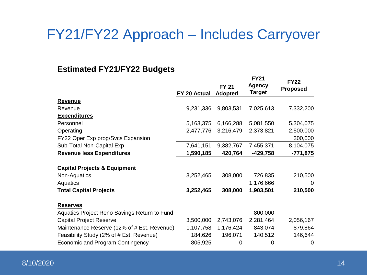### FY21/FY22 Approach – Includes Carryover

#### **Estimated FY21/FY22 Budgets**

|                                              |              | <b>FY21</b><br><b>Agency</b><br><b>FY 21</b> |               | <b>FY22</b><br><b>Proposed</b> |  |
|----------------------------------------------|--------------|----------------------------------------------|---------------|--------------------------------|--|
|                                              | FY 20 Actual | <b>Adopted</b>                               | <b>Target</b> |                                |  |
| <b>Revenue</b>                               |              |                                              |               |                                |  |
| Revenue                                      | 9,231,336    | 9,803,531                                    | 7,025,613     | 7,332,200                      |  |
| <b>Expenditures</b>                          |              |                                              |               |                                |  |
| Personnel                                    | 5,163,375    | 6,166,288                                    | 5,081,550     | 5,304,075                      |  |
| Operating                                    | 2,477,776    | 3,216,479                                    | 2,373,821     | 2,500,000                      |  |
| FY22 Oper Exp prog/Svcs Expansion            |              |                                              |               | 300,000                        |  |
| Sub-Total Non-Capital Exp                    | 7,641,151    | 9,382,767                                    | 7,455,371     | 8,104,075                      |  |
| <b>Revenue less Expenditures</b>             | 1,590,185    | 420,764                                      | $-429,758$    | $-771,875$                     |  |
| <b>Capital Projects &amp; Equipment</b>      |              |                                              |               |                                |  |
| Non-Aquatics                                 | 3,252,465    | 308,000                                      | 726,835       | 210,500                        |  |
| Aquatics                                     |              |                                              | 1,176,666     | 0                              |  |
| <b>Total Capital Projects</b>                | 3,252,465    | 308,000                                      | 1,903,501     | 210,500                        |  |
| <b>Reserves</b>                              |              |                                              |               |                                |  |
| Aquatics Project Reno Savings Return to Fund |              |                                              | 800,000       |                                |  |
| <b>Capital Project Reserve</b>               | 3,500,000    | 2,743,076                                    | 2,281,464     | 2,056,167                      |  |
| Maintenance Reserve (12% of # Est. Revenue)  | 1,107,758    | 1,176,424                                    | 843,074       | 879,864                        |  |
| Feasibility Study (2% of # Est. Revenue)     | 184,626      | 196,071                                      | 140,512       | 146,644                        |  |
| Economic and Program Contingency             | 805,925      | 0                                            | 0             | $\Omega$                       |  |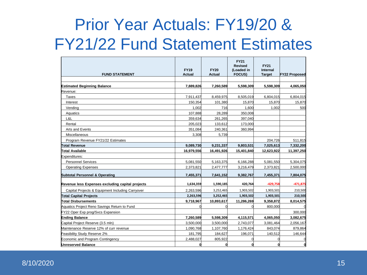# Prior Year Actuals: FY19/20 & FY21/22 Fund Statement Estimates

| <b>FUND STATEMENT</b>                            | <b>FY19</b><br><b>Actual</b> | <b>FY20</b><br><b>Actual</b> | <b>FY21</b><br><b>Revised</b><br>(Loaded in<br><b>FOCUS)</b> | <b>FY21</b><br>Internal<br><b>Target</b> | <b>FY22 Proposed</b> |
|--------------------------------------------------|------------------------------|------------------------------|--------------------------------------------------------------|------------------------------------------|----------------------|
|                                                  |                              |                              |                                                              |                                          |                      |
| <b>Estimated Beginning Balance</b>               | 7,889,826                    | 7,260,589                    | 5,598,309                                                    | 5,598,309                                | 4,065,050            |
| Revenue:                                         |                              |                              |                                                              |                                          |                      |
| Taxes                                            | 7,911,437                    | 8,459,975                    | 8,505,019                                                    | 6,804,015                                | 6,804,015            |
| Interest                                         | 150,354                      | 101,380                      | 15,870                                                       | 15,870                                   | 15,870               |
| Vending                                          | 1.002                        | 716                          | 1.600                                                        | 1.002                                    | 500                  |
| Aquatics                                         | 107,888                      | 28,289                       | 350,008                                                      |                                          |                      |
| L&L                                              | 359,634                      | 261,265                      | 397,040                                                      |                                          |                      |
| Rental                                           | 205,023                      | 133,612                      | 173,000                                                      |                                          |                      |
| Arts and Events                                  | 351,084                      | 240,361                      | 360,994                                                      |                                          |                      |
| Miscellaneous                                    | 3,308                        | 5,739                        |                                                              |                                          |                      |
| Program Revenue FY21/22 Estimates                |                              |                              |                                                              | 204,726                                  | 511,815              |
| Total Revenue                                    | 9,089,730                    | 9,231,337                    | 9,803,531                                                    | 7,025,613                                | 7,332,200            |
| Total Available                                  | 16,979,556                   | 16,491,926                   | 15,401,840                                                   | 12,623,922                               | 11,397,250           |
| Expenditures:                                    |                              |                              |                                                              |                                          |                      |
| <b>Personnel Services</b>                        | 5,081,550                    | 5,163,375                    | 6,166,288                                                    | 5,081,550                                | 5,304,075            |
| <b>Operating Expenses</b>                        | 2,373,821                    | 2,477,777                    | 3,216,479                                                    | 2,373,821                                | 2,500,000            |
| <b>Subtotal Personnel &amp; Operating</b>        | 7,455,371                    | 7,641,152                    | 9,382,767                                                    | 7,455,371                                | 7,804,075            |
| Revenue less Expenses excluding capital projects | 1,634,359                    | 1,590,185                    | 420,764                                                      | $-429,758$                               | $-471,875$           |
| Capital Projects & Equipment Including Carryover | 2.263.596                    | 3,252,465                    | 1,903,502                                                    | 1,903,501                                | 210,500              |
| <b>Total Capital Projects</b>                    | 2,263,596                    | 3,252,465                    | 1,903,502                                                    | 1,903,501                                | 210,500              |
| <b>Total Disbursements</b>                       | 9,718,967                    | 10,893,617                   | 11,286,269                                                   | 9,358,872                                | 8,014,575            |
| Aquatics Project Reno Savings Return to Fund     |                              |                              |                                                              | 800,000                                  |                      |
| FY22 Oper Exp prog/Svcs Expansion                |                              |                              |                                                              |                                          | 300,000              |
| <b>Ending Balance</b>                            | 7,260,589                    | 5,598,309                    | 4,115,571                                                    | 4,065,050                                | 3,082,675            |
| Capital Project Reserve (3.5 mln)                | 3,500,000                    | 3.500.000                    | 2,743,077                                                    | 3,081,464                                | 2,056,167            |
| Maintenance Reserve 12% of curr revenue          | 1.090.768                    | 1,107,760                    | 1,176,424                                                    | 843.074                                  | 879,864              |
| Feasibility Study Reserve 2%                     | 181.795                      | 184,627                      | 196,071                                                      | 140.512                                  | 146,644              |
| Economic and Program Contingency                 | 2,488,027                    | 805,922                      |                                                              |                                          | 0                    |
| <b>Unreserved Balance</b>                        |                              | $\mathbf{0}$                 |                                                              |                                          | O                    |